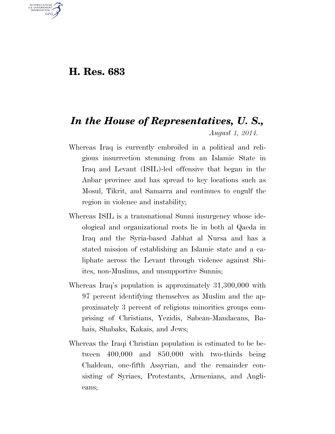## **H. Res. 683**

U.S. GOVERNMENT GPO

## *In the House of Representatives, U. S., August 1, 2014.*

- Whereas Iraq is currently embroiled in a political and religious insurrection stemming from an Islamic State in Iraq and Levant (ISIL)-led offensive that began in the Anbar province and has spread to key locations such as Mosul, Tikrit, and Samarra and continues to engulf the region in violence and instability;
- Whereas ISIL is a transnational Sunni insurgency whose ideological and organizational roots lie in both al Qaeda in Iraq and the Syria-based Jabhat al Nursa and has a stated mission of establishing an Islamic state and a caliphate across the Levant through violence against Shiites, non-Muslims, and unsupportive Sunnis;
- Whereas Iraq's population is approximately 31,300,000 with 97 percent identifying themselves as Muslim and the approximately 3 percent of religious minorities groups comprising of Christians, Yezidis, Sabean-Mandaeans, Bahais, Shabaks, Kakais, and Jews;
- Whereas the Iraqi Christian population is estimated to be between 400,000 and 850,000 with two-thirds being Chaldean, one-fifth Assyrian, and the remainder consisting of Syriacs, Protestants, Armenians, and Anglicans;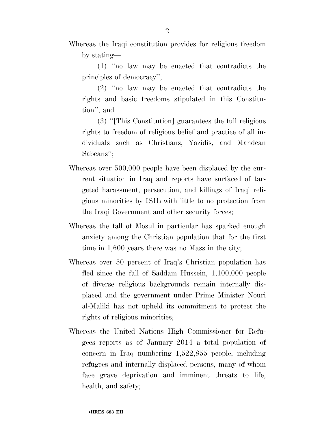Whereas the Iraqi constitution provides for religious freedom by stating—

(1) ''no law may be enacted that contradicts the principles of democracy'';

(2) ''no law may be enacted that contradicts the rights and basic freedoms stipulated in this Constitution''; and

(3) ''[This Constitution] guarantees the full religious rights to freedom of religious belief and practice of all individuals such as Christians, Yazidis, and Mandean Sabeans'';

- Whereas over 500,000 people have been displaced by the current situation in Iraq and reports have surfaced of targeted harassment, persecution, and killings of Iraqi religious minorities by ISIL with little to no protection from the Iraqi Government and other security forces;
- Whereas the fall of Mosul in particular has sparked enough anxiety among the Christian population that for the first time in 1,600 years there was no Mass in the city;
- Whereas over 50 percent of Iraq's Christian population has fled since the fall of Saddam Hussein, 1,100,000 people of diverse religious backgrounds remain internally displaced and the government under Prime Minister Nouri al-Maliki has not upheld its commitment to protect the rights of religious minorities;
- Whereas the United Nations High Commissioner for Refugees reports as of January 2014 a total population of concern in Iraq numbering 1,522,855 people, including refugees and internally displaced persons, many of whom face grave deprivation and imminent threats to life, health, and safety;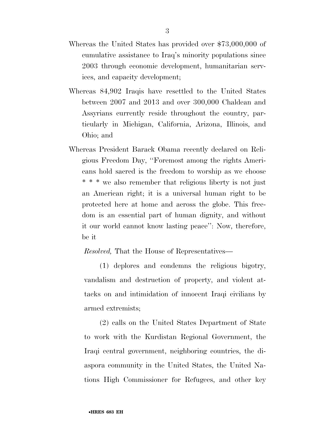- Whereas the United States has provided over \$73,000,000 of cumulative assistance to Iraq's minority populations since 2003 through economic development, humanitarian services, and capacity development;
- Whereas 84,902 Iraqis have resettled to the United States between 2007 and 2013 and over 300,000 Chaldean and Assyrians currently reside throughout the country, particularly in Michigan, California, Arizona, Illinois, and Ohio; and
- Whereas President Barack Obama recently declared on Religious Freedom Day, ''Foremost among the rights Americans hold sacred is the freedom to worship as we choose \* \* \* we also remember that religious liberty is not just an American right; it is a universal human right to be protected here at home and across the globe. This freedom is an essential part of human dignity, and without it our world cannot know lasting peace'': Now, therefore, be it

*Resolved,* That the House of Representatives—

(1) deplores and condemns the religious bigotry, vandalism and destruction of property, and violent attacks on and intimidation of innocent Iraqi civilians by armed extremists;

(2) calls on the United States Department of State to work with the Kurdistan Regional Government, the Iraqi central government, neighboring countries, the diaspora community in the United States, the United Nations High Commissioner for Refugees, and other key